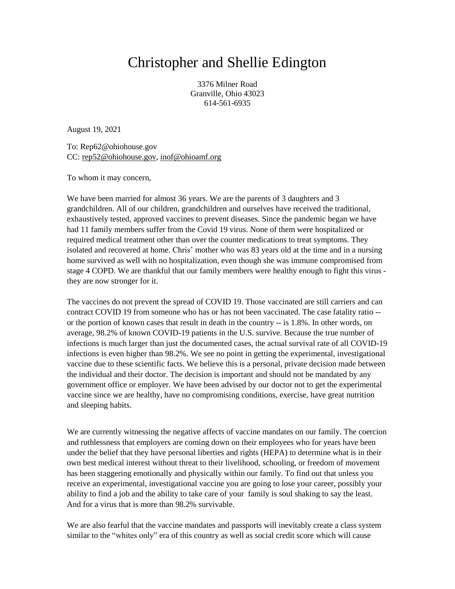## Christopher and Shellie Edington

3376 Milner Road Granville, Ohio 43023 614-561-6935

August 19, 2021

To: Rep62@ohiohouse.gov CC: [rep52@ohiohouse.gov,](mailto:rep52@ohiohouse.gov) [inof@ohioamf.org](mailto:inof@ohioamf.org)

To whom it may concern,

We have been married for almost 36 years. We are the parents of 3 daughters and 3 grandchildren. All of our children, grandchildren and ourselves have received the traditional, exhaustively tested, approved vaccines to prevent diseases. Since the pandemic began we have had 11 family members suffer from the Covid 19 virus. None of them were hospitalized or required medical treatment other than over the counter medications to treat symptoms. They isolated and recovered at home. Chris' mother who was 83 years old at the time and in a nursing home survived as well with no hospitalization, even though she was immune compromised from stage 4 COPD. We are thankful that our family members were healthy enough to fight this virus they are now stronger for it.

The vaccines do not prevent the spread of COVID 19. Those vaccinated are still carriers and can contract COVID 19 from someone who has or has not been vaccinated. The case fatality ratio - or the portion of known cases that result in death in the country -- is 1.8%. In other words, on average, 98.2% of known COVID-19 patients in the U.S. survive. Because the true number of infections is much larger than just the documented cases, the actual survival rate of all COVID-19 infections is even higher than 98.2%. We see no point in getting the experimental, investigational vaccine due to these scientific facts. We believe this is a personal, private decision made between the individual and their doctor. The decision is important and should not be mandated by any government office or employer. We have been advised by our doctor not to get the experimental vaccine since we are healthy, have no compromising conditions, exercise, have great nutrition and sleeping habits.

We are currently witnessing the negative affects of vaccine mandates on our family. The coercion and ruthlessness that employers are coming down on their employees who for years have been under the belief that they have personal liberties and rights (HEPA) to determine what is in their own best medical interest without threat to their livelihood, schooling, or freedom of movement has been staggering emotionally and physically within our family. To find out that unless you receive an experimental, investigational vaccine you are going to lose your career, possibly your ability to find a job and the ability to take care of your family is soul shaking to say the least. And for a virus that is more than 98.2% survivable.

We are also fearful that the vaccine mandates and passports will inevitably create a class system similar to the "whites only" era of this country as well as social credit score which will cause